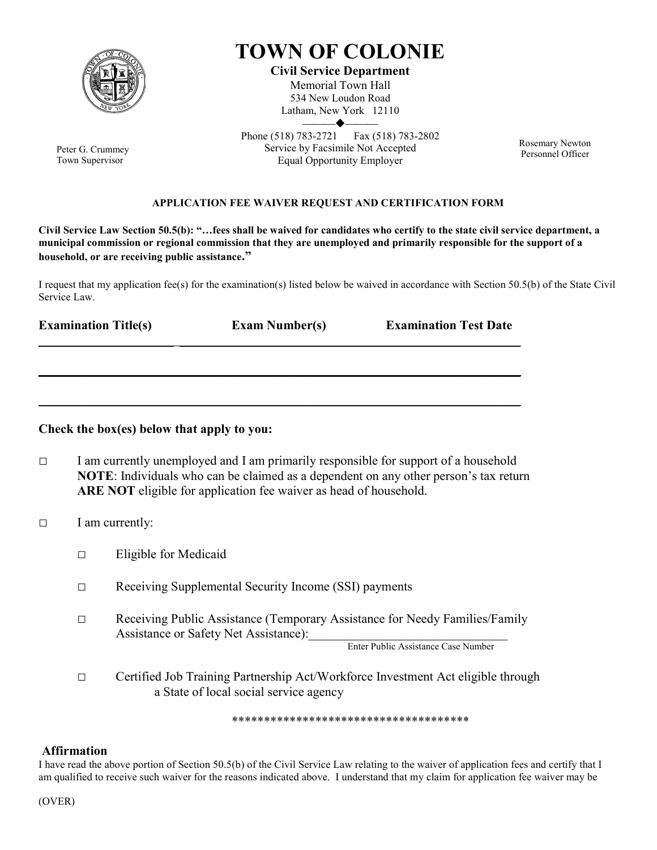

Peter G. Crummey Town Supervisor

## TOWN OF COLONIE

Civil Service Department Memorial Town Hall 534 New Loudon Road Latham, New York 12110  $\blacktriangleleft$ 

Phone (518) 783-2721 Fax (518) 783-2802 Service by Facsimile Not Accepted Equal Opportunity Employer

Rosemary Newton Personnel Officer

## APPLICATION FEE WAIVER REQUEST AND CERTIFICATION FORM

Civil Service Law Section 50.5(b): "…fees shall be waived for candidates who certify to the state civil service department, a municipal commission or regional commission that they are unemployed and primarily responsible for the support of a household, or are receiving public assistance."

I request that my application fee(s) for the examination(s) listed below be waived in accordance with Section 50.5(b) of the State Civil Service Law.

\_\_\_\_\_\_\_\_\_\_\_\_\_\_\_\_\_\_\_\_\_ \_\_\_\_\_\_\_\_\_\_\_\_\_\_\_\_\_\_\_\_\_\_\_\_\_\_\_\_\_\_\_\_\_\_\_\_\_\_\_\_\_\_\_\_\_\_\_\_\_\_\_\_\_

\_\_\_\_\_\_\_\_\_\_\_\_\_\_\_\_\_\_\_\_\_\_\_\_\_\_\_\_\_\_\_\_\_\_\_\_\_\_\_\_\_\_\_\_\_\_\_\_\_\_\_\_\_\_\_\_\_\_\_\_\_\_\_\_\_\_\_\_\_\_\_\_\_\_\_

 $\frac{1}{2}$  ,  $\frac{1}{2}$  ,  $\frac{1}{2}$  ,  $\frac{1}{2}$  ,  $\frac{1}{2}$  ,  $\frac{1}{2}$  ,  $\frac{1}{2}$  ,  $\frac{1}{2}$  ,  $\frac{1}{2}$  ,  $\frac{1}{2}$  ,  $\frac{1}{2}$  ,  $\frac{1}{2}$  ,  $\frac{1}{2}$  ,  $\frac{1}{2}$  ,  $\frac{1}{2}$  ,  $\frac{1}{2}$  ,  $\frac{1}{2}$  ,  $\frac{1}{2}$  ,  $\frac{1$ 

Examination Title(s) Exam Number(s) Examination Test Date

## Check the box(es) below that apply to you:

- $\Box$  I am currently unemployed and I am primarily responsible for support of a household NOTE: Individuals who can be claimed as a dependent on any other person's tax return ARE NOT eligible for application fee waiver as head of household.
- □ I am currently:
	- □ Eligible for Medicaid
	- □ Receiving Supplemental Security Income (SSI) payments
	- □ Receiving Public Assistance (Temporary Assistance for Needy Families/Family Assistance or Safety Net Assistance):

Enter Public Assistance Case Number

□ Certified Job Training Partnership Act/Workforce Investment Act eligible through a State of local social service agency

\*\*\*\*\*\*\*\*\*\*\*\*\*\*\*\*\*\*\*\*\*\*\*\*\*\*\*\*\*\*\*\*\*\*\*\*\*

## Affirmation

I have read the above portion of Section 50.5(b) of the Civil Service Law relating to the waiver of application fees and certify that I am qualified to receive such waiver for the reasons indicated above. I understand that my claim for application fee waiver may be